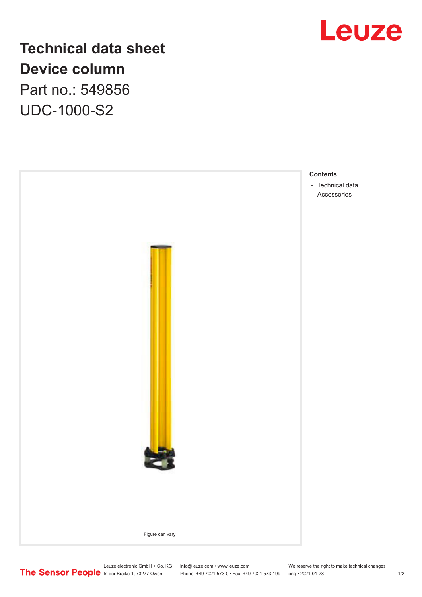

## **Technical data sheet Device column** Part no.: 549856 UDC-1000-S2



Leuze electronic GmbH + Co. KG info@leuze.com • www.leuze.com We reserve the right to make technical changes